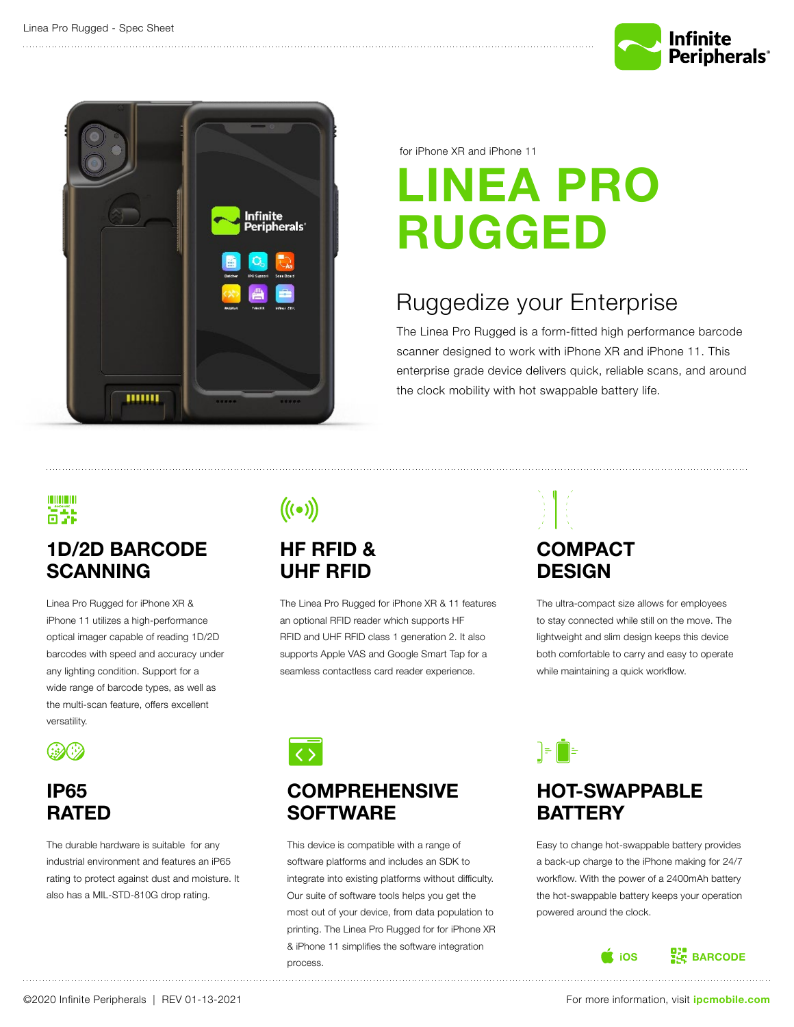



for iPhone XR and iPhone 11

# **LINEA PRO RUGGED**

### Ruggedize your Enterprise

The Linea Pro Rugged is a form-fitted high performance barcode scanner designed to work with iPhone XR and iPhone 11. This enterprise grade device delivers quick, reliable scans, and around the clock mobility with hot swappable battery life.

#### <u> III III</u> HOOK L

### **1D/2D BARCODE SCANNING**

Linea Pro Rugged for iPhone XR & iPhone 11 utilizes a high-performance optical imager capable of reading 1D/2D barcodes with speed and accuracy under any lighting condition. Support for a wide range of barcode types, as well as the multi-scan feature, offers excellent versatility.



### **IP65 RATED**

The durable hardware is suitable for any industrial environment and features an iP65 rating to protect against dust and moisture. It also has a MIL-STD-810G drop rating.

## $((\bullet))$

#### **HF RFID & UHF RFID**

The Linea Pro Rugged for iPhone XR & 11 features an optional RFID reader which supports HF RFID and UHF RFID class 1 generation 2. It also supports Apple VAS and Google Smart Tap for a seamless contactless card reader experience.

## **COMPACT DESIGN**

▐⋾▐▊⋸

The ultra-compact size allows for employees to stay connected while still on the move. The lightweight and slim design keeps this device both comfortable to carry and easy to operate while maintaining a quick workflow.



#### **COMPREHENSIVE SOFTWARE**

This device is compatible with a range of software platforms and includes an SDK to integrate into existing platforms without difficulty. Our suite of software tools helps you get the most out of your device, from data population to printing. The Linea Pro Rugged for for iPhone XR & iPhone 11 simplifies the software integration process.

## **HOT-SWAPPABLE BATTERY**

Easy to change hot-swappable battery provides a back-up charge to the iPhone making for 24/7 workflow. With the power of a 2400mAh battery the hot-swappable battery keeps your operation powered around the clock.

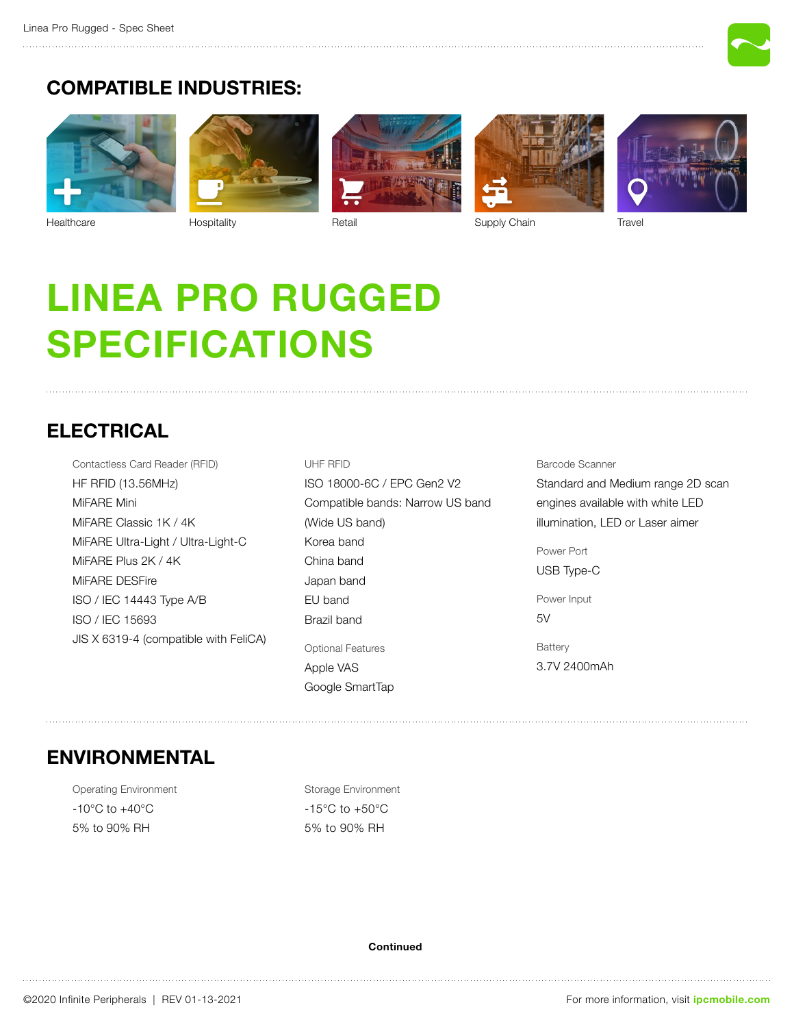

#### **COMPATIBLE INDUSTRIES:**



[Healthcare](https://ipcmobile.com/industry/healthcare-solutions) [Hospitality](https://ipcmobile.com/industry/hospitality-solutions) [Retail](https://ipcmobile.com/industry/retail-solutions) [Supply Chain](https://ipcmobile.com/industry/supply-chain-solutions) [Travel](https://ipcmobile.com/industry/travel-solutions)







# **Linea Pro Rugged SPECIFICATIONS**

#### **ELECTRICAL**

Contactless Card Reader (RFID) HF RFID (13.56MHz) MiFARE Mini MiFARE Classic 1K / 4K MiFARE Ultra-Light / Ultra-Light-C MiFARE Plus 2K / 4K MiFARE DESFire ISO / IEC 14443 Type A/B ISO / IEC 15693 JIS X 6319-4 (compatible with FeliCA) UHF RFID ISO 18000-6C / EPC Gen2 V2 Compatible bands: Narrow US band (Wide US band) Korea band China band Japan band EU band Brazil band Optional Features Apple VAS Google SmartTap

#### Barcode Scanner

Standard and Medium range 2D scan engines available with white LED illumination, LED or Laser aimer

Power Port USB Type-C

Power Input 5V

**Battery** 3.7V 2400mAh

#### **ENVIRONMENTAL**

Operating Environment -10°C to +40°C 5% to 90% RH

Storage Environment -15°C to +50°C 5% to 90% RH

#### **Continued**